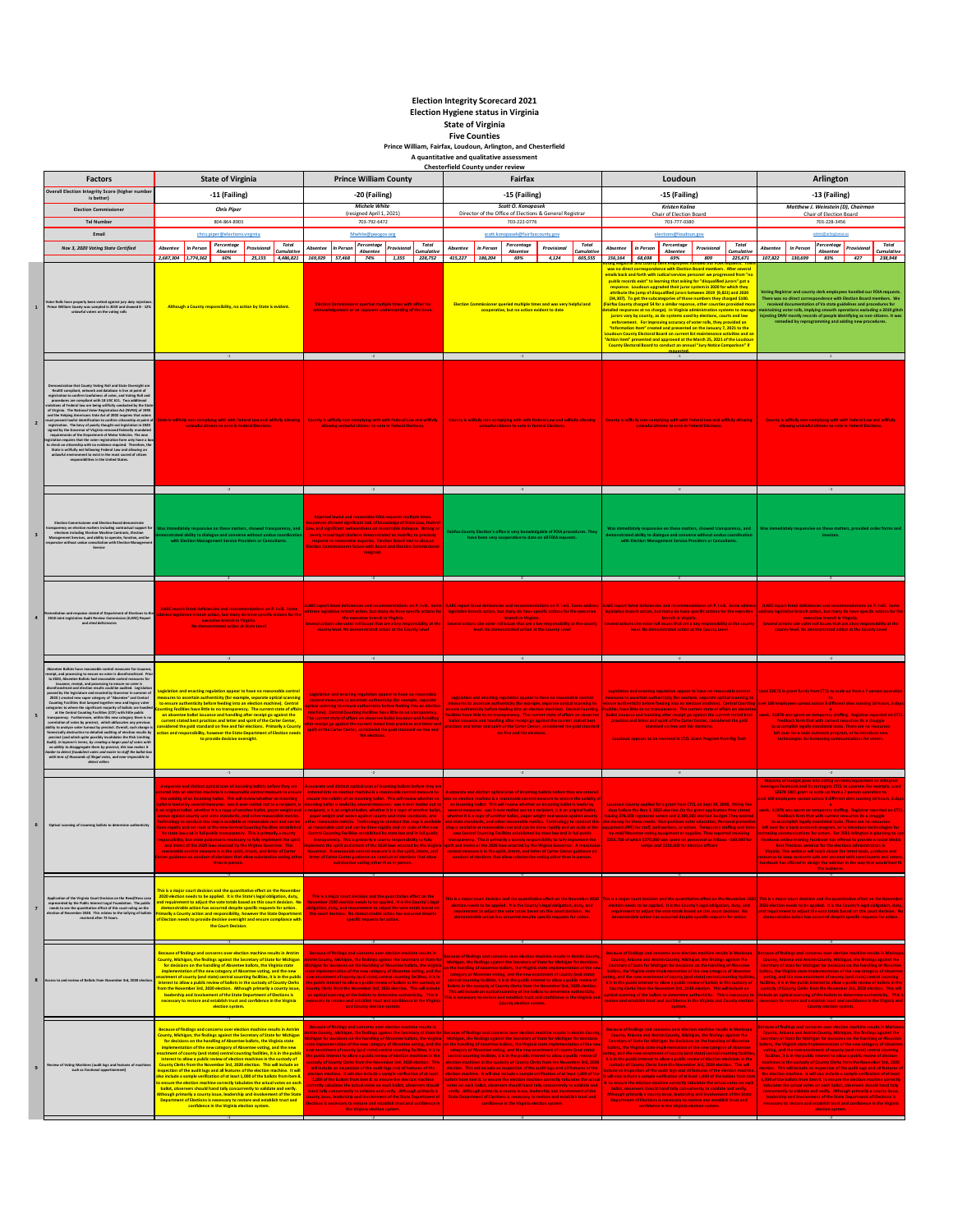## **Election Integrity Scorecard 2021 Election Hygiene status in Virginia State of Virginia**

**Five Counties Prince William, Fairfax, Loudoun, Arlington, and Chesterfield A quantitative and qualitative assessment**

|                         | <b>Factors</b>                                                                                                                                                                                                                                                                                                                                                                                                                                                                                                                                                                                                                                                                                                                                                                                                                                                                                                                                 | <b>State of Virginia</b>                                                                                                                                                                                                                                                                                                                                                                                                                                                                                                                                                                                                                                                                                                                                                                                                                                                                                                                                                                                                                                                          | <b>Prince William County</b>                                                                                                                                                                                                                                                                                                                                                                                                                                                                                                                                                                                                                                                                                                                                                                                                                                                                                                                                    | <b>Chesterfield County under review</b><br>Fairfax                                                                                                                                                                                                                                                                                                                                                                                                                                                                                                                                                                                                                                                                                                                                                                                                                                                                                                                                                                                                                                                                                                         | Loudoun                                                                                                                                                                                                                                                                                                                                                                                                                                                                                                                                                                                                                                                                                                                                                                                                                                                                                                                                                                                                                                                                                                             | Arlington                                                                                                                                                                                                                                                                                                                                                                                                                                                                                                                                                                                                                                                                                                                                                                                                                                                                                                                                                                                                                                                                                                                  |  |
|-------------------------|------------------------------------------------------------------------------------------------------------------------------------------------------------------------------------------------------------------------------------------------------------------------------------------------------------------------------------------------------------------------------------------------------------------------------------------------------------------------------------------------------------------------------------------------------------------------------------------------------------------------------------------------------------------------------------------------------------------------------------------------------------------------------------------------------------------------------------------------------------------------------------------------------------------------------------------------|-----------------------------------------------------------------------------------------------------------------------------------------------------------------------------------------------------------------------------------------------------------------------------------------------------------------------------------------------------------------------------------------------------------------------------------------------------------------------------------------------------------------------------------------------------------------------------------------------------------------------------------------------------------------------------------------------------------------------------------------------------------------------------------------------------------------------------------------------------------------------------------------------------------------------------------------------------------------------------------------------------------------------------------------------------------------------------------|-----------------------------------------------------------------------------------------------------------------------------------------------------------------------------------------------------------------------------------------------------------------------------------------------------------------------------------------------------------------------------------------------------------------------------------------------------------------------------------------------------------------------------------------------------------------------------------------------------------------------------------------------------------------------------------------------------------------------------------------------------------------------------------------------------------------------------------------------------------------------------------------------------------------------------------------------------------------|------------------------------------------------------------------------------------------------------------------------------------------------------------------------------------------------------------------------------------------------------------------------------------------------------------------------------------------------------------------------------------------------------------------------------------------------------------------------------------------------------------------------------------------------------------------------------------------------------------------------------------------------------------------------------------------------------------------------------------------------------------------------------------------------------------------------------------------------------------------------------------------------------------------------------------------------------------------------------------------------------------------------------------------------------------------------------------------------------------------------------------------------------------|---------------------------------------------------------------------------------------------------------------------------------------------------------------------------------------------------------------------------------------------------------------------------------------------------------------------------------------------------------------------------------------------------------------------------------------------------------------------------------------------------------------------------------------------------------------------------------------------------------------------------------------------------------------------------------------------------------------------------------------------------------------------------------------------------------------------------------------------------------------------------------------------------------------------------------------------------------------------------------------------------------------------------------------------------------------------------------------------------------------------|----------------------------------------------------------------------------------------------------------------------------------------------------------------------------------------------------------------------------------------------------------------------------------------------------------------------------------------------------------------------------------------------------------------------------------------------------------------------------------------------------------------------------------------------------------------------------------------------------------------------------------------------------------------------------------------------------------------------------------------------------------------------------------------------------------------------------------------------------------------------------------------------------------------------------------------------------------------------------------------------------------------------------------------------------------------------------------------------------------------------------|--|
|                         | Overall Election Integrity Score (higher numb                                                                                                                                                                                                                                                                                                                                                                                                                                                                                                                                                                                                                                                                                                                                                                                                                                                                                                  | -11 (Failing)                                                                                                                                                                                                                                                                                                                                                                                                                                                                                                                                                                                                                                                                                                                                                                                                                                                                                                                                                                                                                                                                     | -20 (Failing)                                                                                                                                                                                                                                                                                                                                                                                                                                                                                                                                                                                                                                                                                                                                                                                                                                                                                                                                                   | -15 (Failing)                                                                                                                                                                                                                                                                                                                                                                                                                                                                                                                                                                                                                                                                                                                                                                                                                                                                                                                                                                                                                                                                                                                                              | -15 (Failing)                                                                                                                                                                                                                                                                                                                                                                                                                                                                                                                                                                                                                                                                                                                                                                                                                                                                                                                                                                                                                                                                                                       | -13 (Failing)                                                                                                                                                                                                                                                                                                                                                                                                                                                                                                                                                                                                                                                                                                                                                                                                                                                                                                                                                                                                                                                                                                              |  |
|                         | is better)<br><b>Election Commissioner</b>                                                                                                                                                                                                                                                                                                                                                                                                                                                                                                                                                                                                                                                                                                                                                                                                                                                                                                     | <b>Chris Piper</b>                                                                                                                                                                                                                                                                                                                                                                                                                                                                                                                                                                                                                                                                                                                                                                                                                                                                                                                                                                                                                                                                | <b>Michele White</b>                                                                                                                                                                                                                                                                                                                                                                                                                                                                                                                                                                                                                                                                                                                                                                                                                                                                                                                                            | Scott O. Konopasek                                                                                                                                                                                                                                                                                                                                                                                                                                                                                                                                                                                                                                                                                                                                                                                                                                                                                                                                                                                                                                                                                                                                         | <b>Kristen Kaling</b>                                                                                                                                                                                                                                                                                                                                                                                                                                                                                                                                                                                                                                                                                                                                                                                                                                                                                                                                                                                                                                                                                               | Matthew J. Weinstein (D), Chairman                                                                                                                                                                                                                                                                                                                                                                                                                                                                                                                                                                                                                                                                                                                                                                                                                                                                                                                                                                                                                                                                                         |  |
|                         | <b>Tel Number</b>                                                                                                                                                                                                                                                                                                                                                                                                                                                                                                                                                                                                                                                                                                                                                                                                                                                                                                                              | 804-864-8903                                                                                                                                                                                                                                                                                                                                                                                                                                                                                                                                                                                                                                                                                                                                                                                                                                                                                                                                                                                                                                                                      | (resigned April 1, 2021)<br>703-792-6472                                                                                                                                                                                                                                                                                                                                                                                                                                                                                                                                                                                                                                                                                                                                                                                                                                                                                                                        | Director of the Office of Elections & General Registrar<br>703-222-0776                                                                                                                                                                                                                                                                                                                                                                                                                                                                                                                                                                                                                                                                                                                                                                                                                                                                                                                                                                                                                                                                                    | Chair of Election Board<br>703-777-0380                                                                                                                                                                                                                                                                                                                                                                                                                                                                                                                                                                                                                                                                                                                                                                                                                                                                                                                                                                                                                                                                             | Chair of Election Board<br>703-228-3456                                                                                                                                                                                                                                                                                                                                                                                                                                                                                                                                                                                                                                                                                                                                                                                                                                                                                                                                                                                                                                                                                    |  |
|                         | Email                                                                                                                                                                                                                                                                                                                                                                                                                                                                                                                                                                                                                                                                                                                                                                                                                                                                                                                                          | chris.piper@elections.virginia                                                                                                                                                                                                                                                                                                                                                                                                                                                                                                                                                                                                                                                                                                                                                                                                                                                                                                                                                                                                                                                    | Mwhite@pwcgov.org                                                                                                                                                                                                                                                                                                                                                                                                                                                                                                                                                                                                                                                                                                                                                                                                                                                                                                                                               | scott.konopasek@fairfaxcounty.gov                                                                                                                                                                                                                                                                                                                                                                                                                                                                                                                                                                                                                                                                                                                                                                                                                                                                                                                                                                                                                                                                                                                          | elections@loudoun.gov                                                                                                                                                                                                                                                                                                                                                                                                                                                                                                                                                                                                                                                                                                                                                                                                                                                                                                                                                                                                                                                                                               |                                                                                                                                                                                                                                                                                                                                                                                                                                                                                                                                                                                                                                                                                                                                                                                                                                                                                                                                                                                                                                                                                                                            |  |
|                         | Nov 3, 2020 Voting State Certified                                                                                                                                                                                                                                                                                                                                                                                                                                                                                                                                                                                                                                                                                                                                                                                                                                                                                                             | Percentage<br>Total<br>Absentee<br>In Perso<br><b>Provisiona</b><br>Cumulativ<br>Absentee                                                                                                                                                                                                                                                                                                                                                                                                                                                                                                                                                                                                                                                                                                                                                                                                                                                                                                                                                                                         | Percentage<br>Total<br>In Perso<br>Absentee<br>Provisiona<br>Absentee<br>Cumulativ                                                                                                                                                                                                                                                                                                                                                                                                                                                                                                                                                                                                                                                                                                                                                                                                                                                                              | Percentage<br>Total<br>In Perso<br>Provisional<br>Absentee<br>umulati<br>Absentee                                                                                                                                                                                                                                                                                                                                                                                                                                                                                                                                                                                                                                                                                                                                                                                                                                                                                                                                                                                                                                                                          | Percentage<br>Total<br>Absentee<br>In Person<br>Provisional<br>Absentee<br>Cumulativ                                                                                                                                                                                                                                                                                                                                                                                                                                                                                                                                                                                                                                                                                                                                                                                                                                                                                                                                                                                                                                | Percentage<br>Total<br>In Person<br>Absenter<br>Provisiona<br>Absentee<br>Cumulative                                                                                                                                                                                                                                                                                                                                                                                                                                                                                                                                                                                                                                                                                                                                                                                                                                                                                                                                                                                                                                       |  |
| $\mathbf 1$             | er Rolls have properly been vetted against jury duty r<br>nce William County was sampled in 2019 and showes<br>ved 8 - 129<br>unlawful voters on the voting rolls                                                                                                                                                                                                                                                                                                                                                                                                                                                                                                                                                                                                                                                                                                                                                                              | 2.687.304<br>60%<br>25.155<br>4,486,821<br>1,774,362<br>Although a County responsibility, no action by State is evident                                                                                                                                                                                                                                                                                                                                                                                                                                                                                                                                                                                                                                                                                                                                                                                                                                                                                                                                                           | 169,929 57,468<br>74%<br>1.355<br>228,752<br>ioner queried multiple times with either no<br>acknowledgement or an apparent understanding of the issue.                                                                                                                                                                                                                                                                                                                                                                                                                                                                                                                                                                                                                                                                                                                                                                                                          | 415,227<br>186,204<br>4.124<br>605,555<br>69%<br>ner queried multiple times and was very helpful and<br>cooperative, but no action evident to date                                                                                                                                                                                                                                                                                                                                                                                                                                                                                                                                                                                                                                                                                                                                                                                                                                                                                                                                                                                                         | 156,164<br>68,698<br>225.671<br>69%<br>809<br>nce with Election Board members. After severa<br>mails back and forth with Judical services personel we progressed from "n<br>public records exist" to learning that asking for "disqualified jurors" got a<br>response. Loudoun upgraded their juror system in 2020 for which they<br>ribute the jump of disqualified jurors between 2019 (9,821) and 2020<br>(34,307). To get the subcategories of those numbers they charged \$100.<br>Fairfax County charged \$4 for a similar reponse, other counties provided mo<br>etailed responses at no charge). In Virginia administration systems to manag<br>Jurors vary by county, as do systems used by elections, courts and law<br>enforcement. For improving accuracy of voter rolls, they provided an<br>"Information Item" created and presented on the January 7, 2021 to the<br>Loudoun County Electoral Board on current list maintenance activities and an<br>Action Item" presented and approved at the March 25, 2021 of the Lou<br>County Electoral Board to conduct an annual "Jury Notice Comparison" if | 427<br>107,822<br>130.699<br>83%<br>238,948<br><b>Voting Registrar and county clerk employees handled our FOIA req</b><br>There was no direct correspondence with Election Board members. We<br>received documentation of Va state guidelines and pro-<br>naintaining voter rolls, implying smooth operations excluding a 2019 glitch<br>injesting DMV montly records of people identifying as non-citizens. It was<br>remedied by reprogramming and adding new procedures.                                                                                                                                                                                                                                                                                                                                                                                                                                                                                                                                                                                                                                                |  |
|                         |                                                                                                                                                                                                                                                                                                                                                                                                                                                                                                                                                                                                                                                                                                                                                                                                                                                                                                                                                |                                                                                                                                                                                                                                                                                                                                                                                                                                                                                                                                                                                                                                                                                                                                                                                                                                                                                                                                                                                                                                                                                   |                                                                                                                                                                                                                                                                                                                                                                                                                                                                                                                                                                                                                                                                                                                                                                                                                                                                                                                                                                 |                                                                                                                                                                                                                                                                                                                                                                                                                                                                                                                                                                                                                                                                                                                                                                                                                                                                                                                                                                                                                                                                                                                                                            | $-1$                                                                                                                                                                                                                                                                                                                                                                                                                                                                                                                                                                                                                                                                                                                                                                                                                                                                                                                                                                                                                                                                                                                |                                                                                                                                                                                                                                                                                                                                                                                                                                                                                                                                                                                                                                                                                                                                                                                                                                                                                                                                                                                                                                                                                                                            |  |
| $\overline{2}$          | RealtD compliant, network and database is live at point of<br>agistration to confirm lawfulness of voter, and Voting Roll and<br>procedures are compliant with 18 USC 611. Two additional<br>.<br>Slations of Federal law are being willfully conducted by the Sta<br>f Virginia. The National Voter Registration Act (NVRA) of 199:<br>tion Act (NVRA) of 1993<br>of Verginia. The Matican Vote Raginarion Act (PORA) of 1993<br>and the Heighing Americans Vote Act of 2022 requires that voters<br>and the Heighing Americans Vote Act of 2022 requires that voters<br>appelled and the Height of Act<br>unlawful environment to exist in the most sacred of citizen<br>responsibilities in the United States.                                                                                                                                                                                                                              | ate is willfully non-complying with with Federal Law and wilfully allowing<br>lawful citizens to vote in Federal Electic<br>$-2$                                                                                                                                                                                                                                                                                                                                                                                                                                                                                                                                                                                                                                                                                                                                                                                                                                                                                                                                                  | County is willfully non-complying with with Federal Law and willfully<br>allowing unlawful citizens to vote in Federal Electic<br>$-2$                                                                                                                                                                                                                                                                                                                                                                                                                                                                                                                                                                                                                                                                                                                                                                                                                          | County is wilfully non-complying with with Federal Law and wilfully allowing<br>nlawful citizens to vote in Federal Ele                                                                                                                                                                                                                                                                                                                                                                                                                                                                                                                                                                                                                                                                                                                                                                                                                                                                                                                                                                                                                                    | County is willfully non-complying with with Federal Law and wilfully allowing<br>lawful citizens to vote in Federal Electio<br>$-2$                                                                                                                                                                                                                                                                                                                                                                                                                                                                                                                                                                                                                                                                                                                                                                                                                                                                                                                                                                                 | County is willfully non-complying with with Federal Law and willfully                                                                                                                                                                                                                                                                                                                                                                                                                                                                                                                                                                                                                                                                                                                                                                                                                                                                                                                                                                                                                                                      |  |
|                         |                                                                                                                                                                                                                                                                                                                                                                                                                                                                                                                                                                                                                                                                                                                                                                                                                                                                                                                                                |                                                                                                                                                                                                                                                                                                                                                                                                                                                                                                                                                                                                                                                                                                                                                                                                                                                                                                                                                                                                                                                                                   |                                                                                                                                                                                                                                                                                                                                                                                                                                                                                                                                                                                                                                                                                                                                                                                                                                                                                                                                                                 |                                                                                                                                                                                                                                                                                                                                                                                                                                                                                                                                                                                                                                                                                                                                                                                                                                                                                                                                                                                                                                                                                                                                                            |                                                                                                                                                                                                                                                                                                                                                                                                                                                                                                                                                                                                                                                                                                                                                                                                                                                                                                                                                                                                                                                                                                                     |                                                                                                                                                                                                                                                                                                                                                                                                                                                                                                                                                                                                                                                                                                                                                                                                                                                                                                                                                                                                                                                                                                                            |  |
| $\overline{\mathbf{3}}$ | and Ele<br>ers including contractual sup-<br>scy on election matt<br>Service                                                                                                                                                                                                                                                                                                                                                                                                                                                                                                                                                                                                                                                                                                                                                                                                                                                                   |                                                                                                                                                                                                                                                                                                                                                                                                                                                                                                                                                                                                                                                                                                                                                                                                                                                                                                                                                                                                                                                                                   | Rejected lawful and reasonable FOIA requests multiple times<br>ponses showed significant lack of knowledge of State Law, Feder<br>w, and significant awkwardness on reasonable dialogue. Wrong o<br>erly broad legal citations demonstrated an inability to precisely<br>respond to reasonable inquiries. Election Board met to discuss<br>ion Commissioners future with Board and Election Commission<br>resigned.                                                                                                                                                                                                                                                                                                                                                                                                                                                                                                                                             | airFax County Election's office is very knowledgable of FOIA procedures. The<br>have been very cooperative to date on all FOIA requ                                                                                                                                                                                                                                                                                                                                                                                                                                                                                                                                                                                                                                                                                                                                                                                                                                                                                                                                                                                                                        |                                                                                                                                                                                                                                                                                                                                                                                                                                                                                                                                                                                                                                                                                                                                                                                                                                                                                                                                                                                                                                                                                                                     |                                                                                                                                                                                                                                                                                                                                                                                                                                                                                                                                                                                                                                                                                                                                                                                                                                                                                                                                                                                                                                                                                                                            |  |
| $\ddot{a}$              | ent of Ele<br>xns to th<br>2018 Joint Legislative Audit Review Commission (JLARC) Report<br>and cited deficiencies                                                                                                                                                                                                                                                                                                                                                                                                                                                                                                                                                                                                                                                                                                                                                                                                                             | <b>JLARC report listed deficiencies and recommendations on P. i-vili. Some</b><br>ress legislative branch action, but many do have specific actions for the<br>executive branch in Virginia.<br><b>No demonstrated action at State Leve</b>                                                                                                                                                                                                                                                                                                                                                                                                                                                                                                                                                                                                                                                                                                                                                                                                                                       | ddress legislative branch action, but many do have specific actions for<br>the executive branch in Virginia.<br>veral actions cite voter roll issues that are a key responsibility at th<br>county level. No demonstrated action at the County Level                                                                                                                                                                                                                                                                                                                                                                                                                                                                                                                                                                                                                                                                                                            | JLARC report isted deficiencies and recommendations on P. I-viii. Some LLARC report listed deficiencies and recommendations on P. I-viii. Some address LILARC report listed deficiencies and recommendations on P. I-viii. Som<br>legislative branch action, but many do have specific actions for the executive<br>branch in Virginia.<br>Several actions cite voter roll issues that are a key responsibility at the county<br>level. No demonstrated action at the County Level                                                                                                                                                                                                                                                                                                                                                                                                                                                                                                                                                                                                                                                                         | egislative branch action, but many do have specific actions for the executive<br>branch in Virginia.<br>everal actions cite voter roll issues that are a key responsibility at the count<br>level. No demonstrated action at the County Level                                                                                                                                                                                                                                                                                                                                                                                                                                                                                                                                                                                                                                                                                                                                                                                                                                                                       | JLARC report listed deficiencies and recommendations on P. i-vii. Some<br>ddress legislative branch action, but many do have specific actions for the<br>executive branch in Virginia.<br>Several actions cite voter roll issues that are a key responsibility at the<br>county level. No demonstrated action at the County Level                                                                                                                                                                                                                                                                                                                                                                                                                                                                                                                                                                                                                                                                                                                                                                                          |  |
| 5                       | able control me<br>ures for is:<br>eipt, and processing to ensure no voter is disenfranchised. Pri<br>o 2020, Absentee Ballots had reasonable control measures for<br>issuance, receipt, and processing to ensure no voter is<br>to 2020, Abr<br>issuarion, recently and precession<br>get the energy of energy descriptions of the legislation results could be anothed. Legislation<br>2020 ] created new super category of "Absentes" and Central (2020) created new super categor<br>correlation of votes by precinct, which obfuscates any previous<br>bility to analyze voter turnout by precinct. Overall, such change<br>(oremically destructive to detailed auditing of election results b<br>${\bf revec}({\bf r})$ are detected and which equilibration provided to the state of the state of the provident state of the state of the state of the state of the state of the state of the state of the state of the state of the st | egislation and enacting regulation appear to have no reasonable contro<br>neasures to ascertain authenticity (for example, separate optical scanning<br>to ensure authenticity before feeding into an election machine). Central<br>unting Facilities have little to no transparency. The current state of affair<br>on absentee ballot issuance and handling after receipt go against the<br>current stated best practices and letter and spirit of the Carter Center.<br>sidered the gold standard on free and fair elections. Primarily a County<br>ction and responsibility, however the State Department of Election needs<br>to provide decisive oversight.                                                                                                                                                                                                                                                                                                                                                                                                                 | Legislation and enacting regulation appear to have no reasonable<br>control measures to ascertain authenticity (for example, separate<br>tical scanning to ensure authenticity before feeding into an electio<br>achine). Central Counting Facilities have little to no transparency.<br>he current state of affairs on absentee ballot issuance and handling<br>er receipt go against the current stated best practices and letter as<br>pirit of the Carter Center, considered the gold standard on free and<br>tair elections                                                                                                                                                                                                                                                                                                                                                                                                                                | Legislation and enacting regulation appear to have no reasonable control<br>measures to ascertain authenticity (for example, separate optical scanning to<br>insure authenticity before feeding into an election machine). Central Countin<br>acilities have little to no transparency. The current state of affairs on absente<br>ballot issuance and handling after receipt go against the current stated best<br>ractices and letter and spirit of the Carter Center, considered the gold standar<br>on free and fair elections.                                                                                                                                                                                                                                                                                                                                                                                                                                                                                                                                                                                                                        | Legislation and enacting regulation appear to have no reasonable control<br>neasures to ascertain authenticity (for example, separate optical scanning to<br>sure authenticity before feeding into an election machine). Central Countir<br>cilities have little to no transparency. The current state of affairs on absent-<br>ballot issuance and handling after receipt go against the current stated best<br>practices and letter and spirit of the Carter Center, considered the gold<br>standard on free and fair elections.<br>Loudoun appears to be involved in CTCL Grant Program from Big Tech                                                                                                                                                                                                                                                                                                                                                                                                                                                                                                            | sed \$267K in grant funds fro<br><b>CTO</b> , to scale up fr<br>spread across 8 different sites ru<br>eek. \$197K was spent on temporary staffing. Registrar reported on CTCL<br>feedback form that with current resources its a struggle<br>to accomplish legally mandated tasks. There are no resources<br>left over for a basic outreach program, or to introduce new<br>technologies for increasing communications for voters.                                                                                                                                                                                                                                                                                                                                                                                                                                                                                                                                                                                                                                                                                         |  |
|                         |                                                                                                                                                                                                                                                                                                                                                                                                                                                                                                                                                                                                                                                                                                                                                                                                                                                                                                                                                | separate and distinct optical scan of incoming ballots before they are<br>ered into an election machine is a reasonable control measure to ensure<br>the validity of an incoming ballot. This will review whether an incoming<br>liot is lawful by several measures: was it ever mailed out to a recipient, i<br>original ballot, whether it is a copy of another ballot, paper weight an<br>eave against county and state standards, and other reasonable metrics<br>nology to conduct this step is available at reasonable cost and can b<br>ne rapidly and on scale at the new Central Counting Facilities establishe<br>y state law and in full public transparency. This is primarily a county<br>oonsibility, but state guidance is necessary to fully implement the spirit<br>and intent of the 2020 laws enacted by the Virginia Governor. This<br>reasonable control measure is in the spirit, intent, and letter of Carter<br>or guidance on conduct of elections that allow substantive voting oth                                                                     | separate and distinct optical scan of incoming ballots before they a<br>entered into an election machine is a reasonable control measure to<br>ensure the validity of an incoming ballot. This will review whether as<br>incoming ballot is lawful by several measures: was it ever mailed out t<br>ecipient, is it an original ballot, whether it is a copy of another ballo<br>paper weight and weave against county and state standards, and<br>her reasonable metrics. Technology to conduct this step is availab<br>at reasonable cost and can be done rapidly and on scale at the new<br>Central Counting Facilities established by state law and in full publi<br>transparency. This is primarily a county responsibility to fully<br>lement the spirit and intent of the 2020 laws enacted by the Virgin<br>Governor. A reasonable control measure is in the spirit, intent, and<br>letter of Carter Center guidance on conduct of elections that allow | separate and distinct optical scan of incoming ballots before they are entere<br>to an election machine is a reasonable control measure to ensure the validity<br>an incoming ballot. This will review whether an incoming ballot is lawful by<br>asures: was it ever mailed out to a recipient, is it an original ballot<br>whether it is a copy of another ballot, paper weight and weave against count<br>d state standards, and other reasonable metrics. Technology to conduct th<br>step is available at reasonable cost and can be done rapidly and on scale at th<br>new Central Counting Facilities established by state law and in full public<br>transparency. This is primarily a county responsibility to fully implement the<br>irit and intent of the 2020 laws enacted by the Virginia Governor. A reasona<br>control measure is in the spirit, intent, and letter of Carter Center guidance of<br>conduct of elections that allow substantive voting other than in-person.                                                                                                                                                                | Loudoun County applied for a grant from CTCL on Sept 29, 2000, thirtly five<br>days before the Nov 3, 2020 election. On the grant application they stated<br>aving 278,000 registered voters and 2,300,000 election budget. They wanted<br>e money for these needs: Non-partisan voter education, Personal protectiv<br>uioment (PPE) for staff, poll workers, or voters. Temporary staffing and Vot<br>by-mail/Absentee voting equipment or supplies. They reported r<br>\$355,760 of which \$270,000 was spent on personnel as follows - \$60,000 for<br>temps and \$210,000 for election officers                                                                                                                                                                                                                                                                                                                                                                                                                                                                                                                | werages Facebook and its surrogate CTCL to operate. For example, used<br>\$267K CRCL grant to scale up from a 7 person operation to<br>er 100 employees spread across 8 different sites running 16 hours, 6 days<br>eek. \$197K was spent on temporary staffing. Registrar reported on CTCL<br>feedback form that with current resources its a struggle<br>to accomplish legally mandated tasks. There are no reso<br>left over for a basic outreach program, or to introduce technologies for<br>asing communications for voters. For 2021 Arlington is planning to us<br>Facebook online training Facebook has offered to provide a Social Media<br>Best Practices webinar for the elections administrators i<br>Virginia. This webinar will teach about the latest tools, products and<br>ces to keep accounts safe and connect with constituents and vot                                                                                                                                                                                                                                                               |  |
| $\overline{\mathbf{z}}$ | in of the Virginia Court Decision on the Reed/Hess cas<br>ted by the Public Interest Legal Foundation. The publi<br>represented by the Public interest Legal Poundation. The published is see the quantitative effect of this court ruling on the<br>dection of November 2020. This relates to the tallying of balls<br>received after 72 hours.                                                                                                                                                                                                                                                                                                                                                                                                                                                                                                                                                                                               | is is a major court decision and the quantitative effect on the No<br>2020 election needs to be applied. It is the State's legal obligation, duty,<br>ind requirement to adjust the vote totals based on this court decision. No<br>onstrable action has occurred despite specific requests for action.<br>marily a County action and responsibility, however the State Departmen<br><b>fElection needs to provide decisive oversight and ensure compliance with</b><br>the Court Decision.                                                                                                                                                                                                                                                                                                                                                                                                                                                                                                                                                                                       | This is a major court decision and the quantitative effect on the<br>ovember 2020 election needs to be applied. It is the County's legal<br>bigation, duty, and requirement to adjust the vote totals based o<br>this court decision. No demonstrable action has occurred despite<br>specific requests for action                                                                                                                                                                                                                                                                                                                                                                                                                                                                                                                                                                                                                                               | his is a major court decision and the quantitative effect on the November 2020<br>election needs to be applied. It is the County's legal obligation, duty, and<br>requirement to adjust the vote totals based on this court decision. No<br>demonstrable action has occurred despite specific requests for action                                                                                                                                                                                                                                                                                                                                                                                                                                                                                                                                                                                                                                                                                                                                                                                                                                          | is is a major court decision and the quantitative effect on the November 202<br>election needs to be applied. It is the County's legal obligation, duty, and<br>equirement to adjust the vote totals based on this court decision. No<br>demonstrable action has occurred despite specific requests for action                                                                                                                                                                                                                                                                                                                                                                                                                                                                                                                                                                                                                                                                                                                                                                                                      | This is a major court decision and the quantitative effect on the Novemb<br>.<br>2020 election needs to be applied. It is the County's legal obligation, duty<br>d requirement to adjust the vote totals based on this court decision. N<br>tempostrable action has occurred despite specific requests for action.                                                                                                                                                                                                                                                                                                                                                                                                                                                                                                                                                                                                                                                                                                                                                                                                         |  |
| 8                       |                                                                                                                                                                                                                                                                                                                                                                                                                                                                                                                                                                                                                                                                                                                                                                                                                                                                                                                                                | Because of findings and concerns over election machine results in Antrin<br>ounty, Michigan, the findings against the Secretary of State for Michigan<br>for decisions on the handling of Absentee ballots, the Virginia state<br>implementation of the new category of Absentee voting, and the new<br>nactment of county (and state) central counting facilities, it is in the publi<br>terest to allow a public review of ballots in the custody of County Clerks<br>rom the November 3rd, 2020 election. Although primarily a county issue<br>leadership and involvement of the State Department of Elections is<br>necessary to restore and establish trust and confidence in the Virginia<br>election system.                                                                                                                                                                                                                                                                                                                                                               | Because of findings and concerns over election machine results in<br>rim County, Michigan, the findings against the Secretary of State fo<br>thican for decisions on the handling of Absentee ballots, the Virgin'<br>mplementation of the new category of Absentee voting, and th<br>ew enactment of county (and state) central counting facilities, it is in<br>e public interest to allow a public review of ballots in the custody c<br>bunty Clerks from the November 3rd, 2020 election. This will include<br>n optical scanning of the ballots to determine authenticity. This is<br>ressary to restore and establish trust and confidence in the Virgini<br>and County election system.                                                                                                                                                                                                                                                                 | ecause of findings and concerns over election machine results in Antrim Cou<br>Michigan, the findings against the Secretary of State for Michigan for decision<br>n the handling of Absentee ballots, the Virginia state implementation of the r<br>category of Absentee voting, and the new enactment of county (and state)<br>central counting facilities, it is in the public interest to allow a public review o<br>ballots in the custody of County Clerks from the November 3rd, 2020 election<br>This will include an optical scanning of the ballots to determine authenticity<br>his is necessary to restore and establish trust and confidence in the Virginia a<br><b>County election system.</b>                                                                                                                                                                                                                                                                                                                                                                                                                                               | Because of findings and concerns over election machine results in Maricopa<br>County, Arizona and Antrim County, Michigan, the findings against the<br>Secretary of State for Michigan for decisions on the handling of Absentee<br>ballots, the Virginia state implementation of the new category of Absentee<br>ting, and the new enactment of county (and state) central counting facilitie<br>t is in the public interest to allow a public review of ballots in the custody of<br>County Clerks from the November 3rd, 2020 election. This will include an<br>ptical scanning of the ballots to determine authenticity. This is necessary t<br>estore and establish trust and confidence in the Virginia and County election<br>system.                                                                                                                                                                                                                                                                                                                                                                        | ecause of findings and concerns over election machine results in Maricopa<br>County, Arizona and Antrim County, Michigan, the findings against the<br>Secretary of State for Michigan for decisions on the handling of Absentee<br>allots, the Virginia state implementation of the new category of Absent<br>voting, and the new enactment of county (and state) central counting<br>acilities, it is in the public interest to allow a public review of ballots in t<br>custody of County Clerks from the November 3rd, 2020 election. This will<br>clude an optical scanning of the ballots to determine authenticity. This<br>necessary to restore and establish trust and confidence in the Virginia and<br>County election system.                                                                                                                                                                                                                                                                                                                                                                                   |  |
| $\overline{9}$          | nes (audit logs and fea                                                                                                                                                                                                                                                                                                                                                                                                                                                                                                                                                                                                                                                                                                                                                                                                                                                                                                                        | .<br>Recause of findings and concerns over election machine results in Antrin<br>ounty, Michigan, the findings against the Secretary of State for Michigan<br>for decisions on the handling of Absentee ballots, the Virginia state<br>implementation of the new category of Absentee voting, and the new<br>actment of county (and state) central counting facilities, it is in the publi<br>interest to allow a public review of election machines in the custody of<br>County Clerks from the November 3rd, 2020 election. This will include an<br>ispection of the audit logs and all features of the election machine. It will<br>o include a sample verification of at least 1,000 of the ballots from item 8<br>ensure the election machine correctly tabulates the actual votes on each<br>ballot, observers should hand tally concurrently to validate and verify.<br>though primarily a county issue, leadership and involvement of the State<br>Department of Elections is necessary to restore and establish trust and<br>confidence in the Virginia election system. | Because of findings and concerns over election machine results in<br>ounty, Michigan, the findings against the Secretary of State fi<br>w enactment of county (and state) central counting facilities, it is in<br>e public interest to allow a public review of election machines in th<br>stody of County Clerks from the November 3rd, 2020 election. Thi<br>will include an inspection of the audit logs and all features of the<br>fon machine. It will also include a sample verification of at least<br>1,000 of the ballots from item 8. to ensure the election machine<br>ectly tabulates the actual votes on each ballot, observers should<br>hand tally concurrently to validate and verify. Although primarily a<br><b>issue, leadership and involvement of the State Department of</b><br>ections is necessary to restore and establish trust and confidence is<br>the Virginia election system.                                                   | ecause of findings and concerns over election machine results in Antrim Cou<br>higan for decisions on the handing of Absentee ballots, the Virginia <b>) Michigan, the findings against the Secretary of State for Michigan for decision</b><br>te implementation of the new category of Absentee voting, and the <b>on </b><br>category of Absentee voting, and the new enactment of county (and state<br>central counting facilities, it is in the public interest to allow a public review o<br>election machines in the custody of County Clerks from the November 3rd, 202<br>election. This will include an inspection of the audit logs and all features of th<br>lection machine. It will also include a sample verification of at least 1,000 of ti<br>allots from item 8, to ensure the election machine correctly tabulates the act<br>.<br>otes on each ballot, observers should hand tally concurrently to validate an<br>verify. Although primarily a county issue, leadership and involvement of the<br><b>State Department of Elections is necessary to restore and establish trust and</b><br>confidence in the Virginia election system. | Because of findings and concerns over election machine results in Maricopa<br>County, Arizona and Antrim County, Michigan, the findings against the<br><b>Secretary of State for Michigan for decisions on the handling of Absentee</b><br>ballots, the Virginia state implementation of the new category of Absentee<br>ing, and the new enactment of county (and state) central counting facilities<br>It is in the public interest to allow a public review of election machines in the<br>custody of County Clerks from the November 3rd, 2020 election. This will<br>clude an inspection of the audit logs and all features of the election machine<br>will also include a sample verification of at least 1,000 of the ballots from ite<br>to ensure the election machine correctly tabulates the actual votes on eac<br>ballot, observers should hand tally concurrently to validate and verify.<br>Although primarily a county issue, leadership and involvement of the State<br>Department of Elections is necessary to restore and establish trust and<br>confidence in the Virginia election system      | ecause of findings and concerns over election machine results in Maricog<br><b>County, Arizona and Antrim County, Michigan, the findings against the</b><br><b>Secretary of State for Michigan for decisions on the handling of Absentee</b><br>allots, the Virginia state implementation of the new category of Absent<br>voting, and the new enactment of county (and state) central counting<br>facilities, it is in the public interest to allow a public review of electio<br>machines in the custody of County Clerks from the November 3rd, 2020<br>ection. This will include an inspection of the audit logs and all features (<br>the election machine. It will also include a sample verification of at leas<br>1,000 of the ballots from item 8. to ensure the election machine correcti<br>labulates the actual votes on each bailot, observers should hand tally<br>concurrently to validate and verify. Although primarily a county issue,<br>leadership and involvement of the State Department of Elections<br>necessary to restore and establish trust and confidence in the Virginia<br>election system. |  |